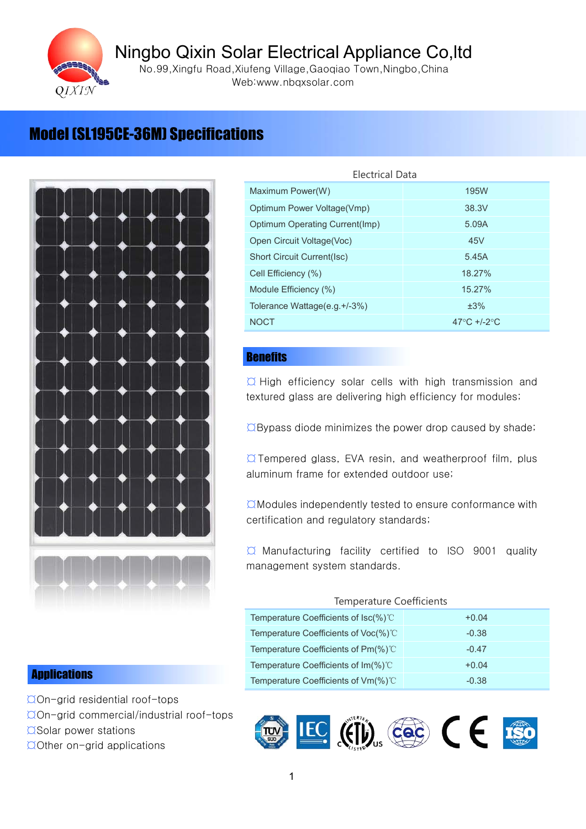

Ningbo Qixin Solar Electrical Appliance Co, Itd<br>
No.99, Xingfu Road, Xiufeng Village, Gaoqiao Town, Ningbo, China<br>
Web:www.nbqxsolar.com<br>
Model ISL195CE-36MJ Specifications No.99,Xingfu Road,Xiufeng Village,Gaoqiao Town,Ningbo,China Web:www.nbqxsolar.com



| <b>Electrical Data</b>                                   |                                                   |
|----------------------------------------------------------|---------------------------------------------------|
| Maximum Power(W)                                         | <b>195W</b>                                       |
| Optimum Power Voltage(Vmp)                               | 38.3V                                             |
| Optimum Operating Current(Imp)                           | 5.09A                                             |
| Open Circuit Voltage(Voc)                                | 45V                                               |
| <b>Short Circuit Current(Isc)</b>                        | 5.45A                                             |
| Cell Efficiency (%)                                      | 18.27%                                            |
| Module Efficiency (%)                                    | 15.27%                                            |
| Tolerance Wattage(e.g.+/-3%)                             | ±3%                                               |
| <b>NOCT</b>                                              | 47 $\mathrm{^{\circ}C}$ +/-2 $\mathrm{^{\circ}C}$ |
|                                                          |                                                   |
| <b>Benefits</b>                                          |                                                   |
| O High officioney solar colle with high transmission and |                                                   |

### **Benefits**

 $\overline{a}$  High efficiency solar cells with high transmission and textured glass are delivering high efficiency for modules;<br> $\overline{a}$ Bypass diode minimizes the power drop caused by shade;

textured glass are delivering high efficiency for modules;<br>  $\overline{O}$ Bypass diode minimizes the power drop caused by sha<br>  $\overline{O}$  Tempered glass, EVA resin, and weatherproof film, polyminum frame for extended outdoor use;  $\hbox{QBypass diode minimizes the power drop caused by shade;}$ <br> $\hbox{QTempered glass, EVA resin, and weatherproof film, plus aluminum frame for extended outdoor use;}\n\hbox{QModules independently tested to ensure conformance with the following analysis.}$  $\alpha$  Tempered glass, EVA resin, and weatherproof film, plus<br>aluminum frame for extended outdoor use;<br> $\alpha$  Modules independently tested to ensure conformance with<br>certification and regulatory standards;

aluminum frame for extended outdoor use;<br>  $\Box$ Modules independently tested to ensure conformance with<br>
certification and regulatory standards;

 $\alpha$ Modules independently tested to ensure conformance with<br>certification and regulatory standards;<br> $\alpha$  Manufacturing facility certified to ISO 9001 quality<br>management system standards. certification and regulatory standards;<br>  $\alpha$  Manufacturing facility certified<br>
management system standards.  $\alpha$  Manufacturing facility certified to ISO 9001 quality<br>management system standards.<br>Temperature Coefficients<br>Temperature Coefficients of Isc(%)<sup>°</sup>C +0.04 management system standards.

### Temperature Coefficients

| Temperature Coefficients of $\text{Isc}(\%)^{\circ}$ | $+0.04$ |
|------------------------------------------------------|---------|
| Temperature Coefficients of Voc(%)°C                 | $-0.38$ |
| Temperature Coefficients of Pm(%)°C                  | $-0.47$ |
| Temperature Coefficients of $Im(\%)$ °C              | $+0.04$ |
| Temperature Coefficients of $Vm$ $\%$ $\degree$      | $-0.38$ |
|                                                      |         |

## **Applications**

- ΩOn-grid residential roof-tops<br>ΩOn-grid commercial/industria<br>ΩSolar power stations<br>ΩOther on-grid applications  $\overline{Q}$ On-grid commercial/industrial roof-tops<br> $\overline{Q}$ Solar power stations<br> $\overline{Q}$ Other on-grid applications
	-

¤Solar power stations<br>¤Other on-grid applic<br>¤ ¤Other on-grid applications